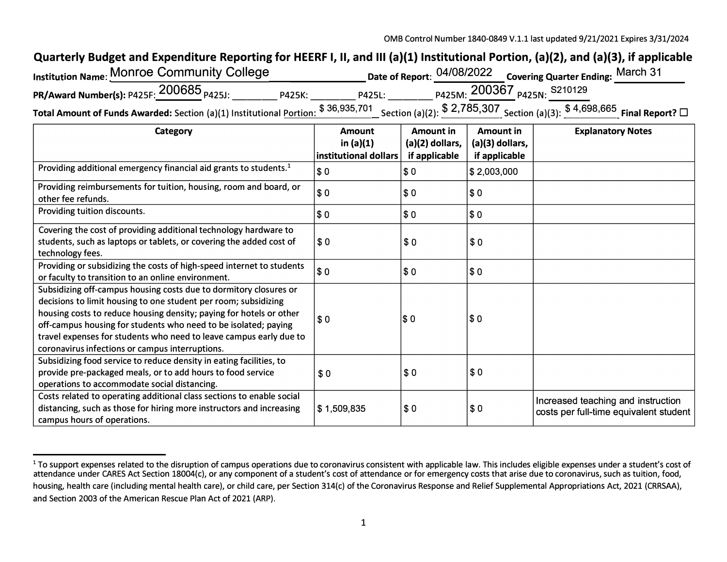## Quarterly Budget and Expenditure Reporting for HEERF I, II, and III (a)(1) Institutional Portion, (a)(2), and (a)(3), if applicable

| nstitution Name: MONroe Community College           |        |                     |                     | Date of Report: 04/08/2022 Covering Quarter Ending: March 31 |
|-----------------------------------------------------|--------|---------------------|---------------------|--------------------------------------------------------------|
| PR/Award Number(s): P425F: 200685 <sub>P425J:</sub> | P425K: | P425L:              |                     | <sub>P425M:</sub> 200367 <sub>P425N:</sub> s210129           |
|                                                     |        | <b>¢ 36 035 701</b> | $R$ 2 7 7 8 5 2 0 7 | $R$ A GOR GGS                                                |

Total Amount of Funds Awarded: Section (a)(1) Institutional <u>Portion: \$36,935, (01</u> Section (a)(2): \$2, (85,30/<br>Section (a)(3): \$4,698,665 Final Report? □

| Category                                                                                                                                                                                                                                                                                                                                                                                                | <b>Amount</b>                         | Amount in                        | Amount in                        | <b>Explanatory Notes</b>                                                     |
|---------------------------------------------------------------------------------------------------------------------------------------------------------------------------------------------------------------------------------------------------------------------------------------------------------------------------------------------------------------------------------------------------------|---------------------------------------|----------------------------------|----------------------------------|------------------------------------------------------------------------------|
|                                                                                                                                                                                                                                                                                                                                                                                                         | in $(a)(1)$<br> institutional dollars | (a)(2) dollars,<br>if applicable | (a)(3) dollars,<br>if applicable |                                                                              |
| Providing additional emergency financial aid grants to students. <sup>1</sup>                                                                                                                                                                                                                                                                                                                           | \$ 0                                  | $\sqrt{3}0$                      | \$2,003,000                      |                                                                              |
| Providing reimbursements for tuition, housing, room and board, or<br>other fee refunds.                                                                                                                                                                                                                                                                                                                 | \$0                                   | \$0                              | \$0                              |                                                                              |
| Providing tuition discounts.                                                                                                                                                                                                                                                                                                                                                                            | <b>SO</b>                             | \$0                              | \$0                              |                                                                              |
| Covering the cost of providing additional technology hardware to<br>students, such as laptops or tablets, or covering the added cost of<br>technology fees.                                                                                                                                                                                                                                             | $\frac{1}{2}$                         | \$0                              | \$0                              |                                                                              |
| Providing or subsidizing the costs of high-speed internet to students<br>or faculty to transition to an online environment.                                                                                                                                                                                                                                                                             | \$ 0                                  | \$0                              | \$0                              |                                                                              |
| Subsidizing off-campus housing costs due to dormitory closures or<br>decisions to limit housing to one student per room; subsidizing<br>housing costs to reduce housing density; paying for hotels or other<br>off-campus housing for students who need to be isolated; paying<br>travel expenses for students who need to leave campus early due to<br>coronavirus infections or campus interruptions. | $s_{0}$                               | \$0                              | \$0                              |                                                                              |
| Subsidizing food service to reduce density in eating facilities, to<br>provide pre-packaged meals, or to add hours to food service<br>operations to accommodate social distancing.                                                                                                                                                                                                                      | \$0                                   | \$0                              | \$0                              |                                                                              |
| Costs related to operating additional class sections to enable social<br>distancing, such as those for hiring more instructors and increasing<br>campus hours of operations.                                                                                                                                                                                                                            | \$1,509,835                           | \$0                              | \$0                              | Increased teaching and instruction<br>costs per full-time equivalent student |

<sup>&</sup>lt;sup>1</sup> To support expenses related to the disruption of campus operations due to coronavirus consistent with applicable law. This includes eligible expenses under a student's cost of attendance under CARES Act Section 18004(c), or any component of a student's cost of attendance or for emergency costs that arise due to coronavirus, such as tuition, food, housing, health care (including mental health care), or child care, per Section 314(c) of the Coronavirus Response and Relief Supplemental Appropriations Act, 2021 (CRRSAA), and Section 2003 of the American Rescue Plan Act of 2021 (ARP).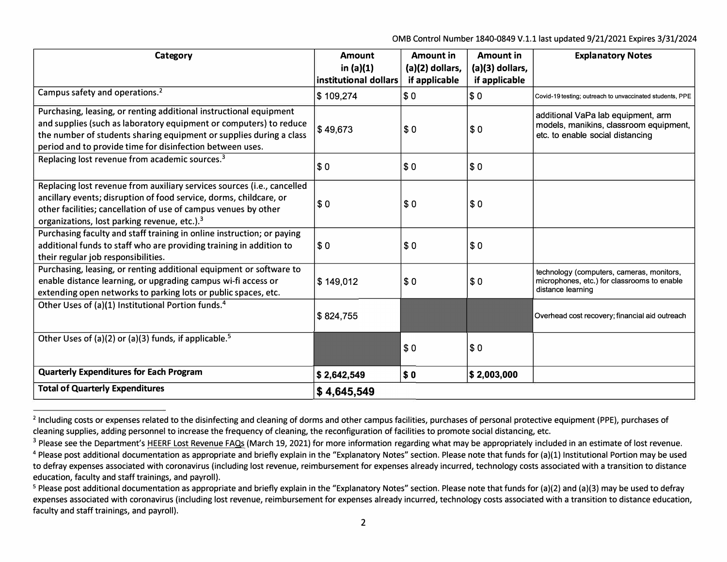0MB Control Number 1840-0849 V.1.1 last updated 9/21/2021 Expires 3/31/2024

| Category                                                                                                                                                                                                                                                                     | <b>Amount</b>                        | Amount in                        | Amount in                        | <b>Explanatory Notes</b>                                                                                         |
|------------------------------------------------------------------------------------------------------------------------------------------------------------------------------------------------------------------------------------------------------------------------------|--------------------------------------|----------------------------------|----------------------------------|------------------------------------------------------------------------------------------------------------------|
|                                                                                                                                                                                                                                                                              | in $(a)(1)$<br>institutional dollars | (a)(2) dollars,<br>if applicable | (a)(3) dollars,<br>if applicable |                                                                                                                  |
| Campus safety and operations. <sup>2</sup>                                                                                                                                                                                                                                   | \$109,274                            | \$0                              | \$0                              | Covid-19 testing; outreach to unvaccinated students, PPE                                                         |
| Purchasing, leasing, or renting additional instructional equipment<br>and supplies (such as laboratory equipment or computers) to reduce<br>the number of students sharing equipment or supplies during a class<br>period and to provide time for disinfection between uses. | \$49,673                             | \$0                              | \$0                              | additional VaPa lab equipment, arm<br>models, manikins, classroom equipment,<br>etc. to enable social distancing |
| Replacing lost revenue from academic sources. <sup>3</sup>                                                                                                                                                                                                                   | \$0                                  | \$0                              | \$0                              |                                                                                                                  |
| Replacing lost revenue from auxiliary services sources (i.e., cancelled<br>ancillary events; disruption of food service, dorms, childcare, or<br>other facilities; cancellation of use of campus venues by other<br>organizations, lost parking revenue, etc.). <sup>3</sup> | \$0                                  | \$0                              | \$0                              |                                                                                                                  |
| Purchasing faculty and staff training in online instruction; or paying<br>additional funds to staff who are providing training in addition to<br>their regular job responsibilities.                                                                                         | s <sub>0</sub>                       | \$0                              | \$0                              |                                                                                                                  |
| Purchasing, leasing, or renting additional equipment or software to<br>enable distance learning, or upgrading campus wi-fi access or<br>extending open networks to parking lots or public spaces, etc.                                                                       | \$149,012                            | \$0                              | \$0                              | technology (computers, cameras, monitors,<br>microphones, etc.) for classrooms to enable<br>distance learning    |
| Other Uses of (a)(1) Institutional Portion funds. <sup>4</sup>                                                                                                                                                                                                               | \$824,755                            |                                  |                                  | Overhead cost recovery; financial aid outreach                                                                   |
| Other Uses of (a)(2) or (a)(3) funds, if applicable. <sup>5</sup>                                                                                                                                                                                                            |                                      | \$0                              | \$0                              |                                                                                                                  |
| <b>Quarterly Expenditures for Each Program</b>                                                                                                                                                                                                                               | \$2,642,549                          | \$0                              | \$2,003,000                      |                                                                                                                  |
| <b>Total of Quarterly Expenditures</b>                                                                                                                                                                                                                                       | $\frac{1}{2}$ 4,645,549              |                                  |                                  |                                                                                                                  |

<sup>&</sup>lt;sup>2</sup> Including costs or expenses related to the disinfecting and cleaning of dorms and other campus facilities, purchases of personal protective equipment (PPE), purchases of cleaning supplies, adding personnel to increase the frequency of cleaning, the reconfiguration of facilities to promote social distancing, etc.

<sup>&</sup>lt;sup>3</sup> Please see the Department's HEERF Lost Revenue FAQs (March 19, 2021) for more information regarding what may be appropriately included in an estimate of lost revenue.

 $4$  Please post additional documentation as appropriate and briefly explain in the "Explanatory Notes" section. Please note that funds for (a)(1) Institutional Portion may be used to defray expenses associated with coronavirus (including lost revenue, reimbursement for expenses already incurred, technology costs associated with a transition to distance education, faculty and staff trainings, and payroll).

<sup>&</sup>lt;sup>5</sup> Please post additional documentation as appropriate and briefly explain in the "Explanatory Notes" section. Please note that funds for (a)(2) and (a)(3) may be used to defray expenses associated with coronavirus (including lost revenue, reimbursement for expenses already incurred, technology costs associated with a transition to distance education, faculty and staff trainings, and payroll).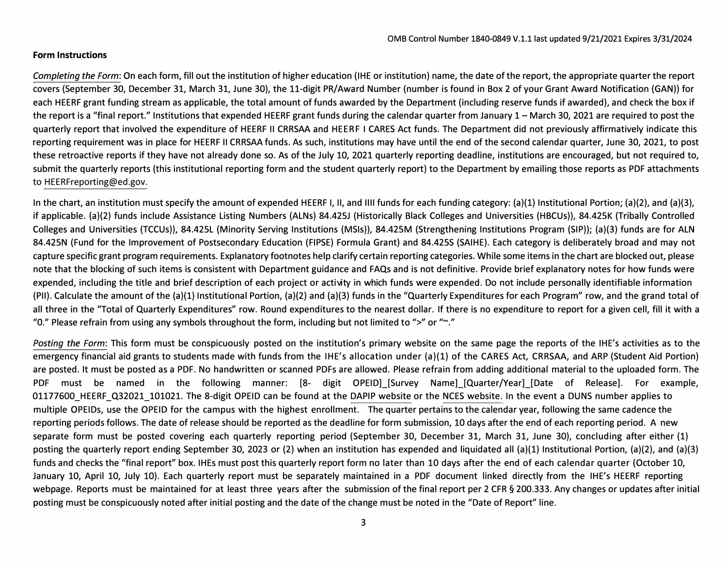## **Form Instructions**

*Completing the Form:* On each form, fill out the institution of higher education (IHE or institution) name, the date of the report, the appropriate quarter the report covers (September 30, December 31, March 31, June 30), the 11-digit PR/Award Number (number is found in Box 2 of your Grant Award Notification (GAN)) for each HEERF grant funding stream as applicable, the total amount of funds awarded by the Department (including reserve funds if awarded), and check the box if the report is a "final report." Institutions that expended HEERF grant funds during the calendar quarter from January 1- March 30, 2021 are required to post the quarterly report that involved the expenditure of HEERF II CRRSAA and HEERF I CARES Act funds. The Department did not previously affirmatively indicate this reporting requirement was in place for HEERF II CRRSAA funds. As such, institutions may have until the end of the second calendar quarter, June 30, 2021, to post these retroactive reports if they have not already done so. As of the July 10, 2021 quarterly reporting deadline, institutions are encouraged, but not required to, submit the quarterly reports (this institutional reporting form and the student quarterly report) to the Department by emailing those reports as PDF attachments to [HEERFreporting@ed.gov](mailto:HEERFreporting@ed.gov).

In the chart, an institution must specify the amount of expended HEERF I, II, and IIII funds for each funding category: (a)(1) Institutional Portion; (a)(2), and (a)(3), if applicable. (a)(2) funds include Assistance Listing Numbers (ALNs) 84.425J (Historically Black Colleges and Universities (HBCUs)), 84.425K (Tribally Controlled Colleges and Universities (TCCUs)), 84.425L (Minority Serving Institutions (MSls)), 84.425M (Strengthening Institutions Program (SIP)); (a)(3) funds are for ALN 84.425N (Fund for the Improvement of Postsecondary Education (FIPSE) Formula Grant) and 84.425S (SAIHE). Each category is deliberately broad and may not capture specific grant program requirements. Explanatory footnotes help clarify certain reporting categories. While some items in the chart are blocked out, please note that the blocking of such items is consistent with Department guidance and FAQs and is not definitive. Provide brief explanatory notes for how funds were expended, including the title and brief description of each project or activty in which funds were expended. Do not include personally identifiable information (PII). Calculate the amount of the (a)(l) Institutional Portion, (a)(2) and (a)(3) funds in the "Quarterly Expenditures for each Program" row, and the grand total of all three in the "Total of Quarterly Expenditures" row. Round expenditures to the nearest dollar. If there is no expenditure to report for a given cell, fill it with a "O." Please refrain from using any symbols throughout the form, including but not limited to ">" or"~."

*Posting the Form:* This form must be conspicuously posted on the institution's primary website on the same page the reports of the IHE's activities as to the emergency financial aid grants to students made with funds from the IHE's allocation under (a)(l) of the CARES Act, CRRSAA, and ARP (Student Aid Portion) are posted. It must be posted as a PDF. No handwritten or scanned PDFs are allowed. Please refrain from adding additional material to the uploaded form. The PDF must be named in the following manner: [8- digit OPEID] [Survey Name] [Quarter/Year] [Date of Release]. For example, 01177600 HEERF Q32021 101021. The 8-digit OPEID can be found at the [DAPIP website](https://ope.ed.gov/dapip/#/home) or th[e NCES website.](https://nces.ed.gov/collegenavigator/) In the event a DUNS number applies to multiple OPEIDs, use the OPEID for the campus with the highest enrollment. The quarter pertains to the calendar year, following the same cadence the reporting periods follows. The date of release should be reported as the deadline for form submission, 10 days afer the end of each reporting period. A new separate form must be posted covering each quarterly reporting period (September 30, December 31, March 31, June 30), concluding after either (1) posting the quarterly report ending September 30, 2023 or (2) when an institution has expended and liquidated all (a)(1) Institutional Portion, (a)(2), and (a)(3) funds and checks the "final report" box. IHEs must post this quarterly report form no later than 10 days after the end of each calendar quarter (October 10, January 10, April 10, July 10). Each quarterly report must be separately maintained in a PDF document linked directly from the IHE's HEERF reporting webpage. Reports must be maintained for at least three years after the submission of the final report per 2 CFR § 200.333. Any changes or updates after initial posting must be conspicuously noted after initial posting and the date of the change must be noted in the "Date of Report" line.